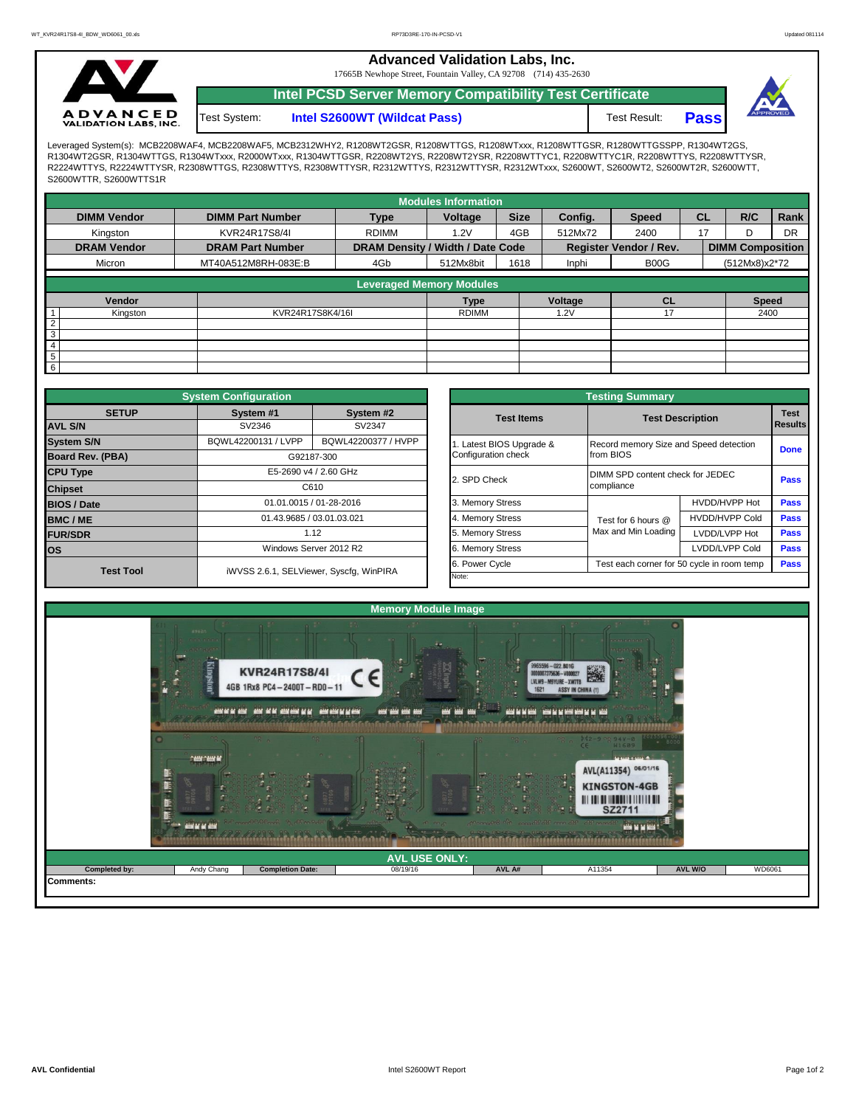**Advanced Validation Labs, Inc.** 

17665B Newhope Street, Fountain Valley, CA 92708 (714) 435-2630



**Intel PCSD Server Memory Compatibility Test Certificate**



Test System: **Intel S2600WT (Wildcat Pass)** Test Result: **Pass** 

Leveraged System(s): MCB2208WAF4, MCB2208WAF5, MCB2312WHY2, R1208WT2GSR, R1208WTTGS, R1208WTxxx, R1208WTTGSR, R1280WTTGSSPP, R1304WT2GS, R1304WT2GSR, R1304WTTGS, R1304WTxxx, R2000WTxxx, R1304WTTGSR, R2208WT2YS, R2208WT2YSR, R2208WTTYC1, R2208WTTYC1R, R2208WTTYS, R2208WTTYSR, R2224WTTYS, R2224WTTYSR, R2308WTTGS, R2308WTTYS, R2308WTTYSR, R2312WTTYS, R2312WTTYSR, R2312WTxxx, S2600WT, S2600WT2, S2600WT2R, S2600WTT, S2600WTTR, S2600WTTS1R

|                                 |                         |                                  | <b>Modules Information</b> |             |                               |                               |           |                                 |           |  |  |  |
|---------------------------------|-------------------------|----------------------------------|----------------------------|-------------|-------------------------------|-------------------------------|-----------|---------------------------------|-----------|--|--|--|
| <b>DIMM Vendor</b>              | <b>DIMM Part Number</b> | <b>Type</b>                      | Voltage                    | <b>Size</b> | Config.                       | <b>Speed</b>                  | <b>CL</b> | R/C                             | Rank      |  |  |  |
| Kingston                        | KVR24R17S8/4I           | <b>RDIMM</b>                     | 1.2V                       | 4GB         | 512Mx72                       | 2400                          | 17        |                                 | <b>DR</b> |  |  |  |
| <b>DRAM Vendor</b>              | <b>DRAM Part Number</b> | DRAM Density / Width / Date Code |                            |             | <b>Register Vendor / Rev.</b> |                               |           |                                 |           |  |  |  |
| Micron                          | MT40A512M8RH-083E:B     | 4Gb                              | 512Mx8bit                  | 1618        | Inphi                         | B <sub>0</sub> O <sub>G</sub> |           | (512Mx8)x2*72                   |           |  |  |  |
| <b>Leveraged Memory Modules</b> |                         |                                  |                            |             |                               |                               |           |                                 |           |  |  |  |
|                                 |                         |                                  |                            |             |                               |                               |           |                                 |           |  |  |  |
| Vendor                          |                         |                                  | <b>Type</b>                |             | Voltage                       | <b>CL</b>                     |           | <b>Speed</b>                    |           |  |  |  |
| Kingston                        | KVR24R17S8K4/16I        |                                  | <b>RDIMM</b>               |             | 1.2V                          | 17                            |           | <b>DIMM Composition</b><br>2400 |           |  |  |  |
| $\overline{2}$                  |                         |                                  |                            |             |                               |                               |           |                                 |           |  |  |  |
| 3                               |                         |                                  |                            |             |                               |                               |           |                                 |           |  |  |  |
| 4                               |                         |                                  |                            |             |                               |                               |           |                                 |           |  |  |  |
| 5                               |                         |                                  |                            |             |                               |                               |           |                                 |           |  |  |  |
| $6 \overline{6}$                |                         |                                  |                            |             |                               |                               |           |                                 |           |  |  |  |

|                                | <b>System Configuration</b> |                                         | <b>Testing Summary</b> |                                        |                                            |             |  |  |  |  |  |  |
|--------------------------------|-----------------------------|-----------------------------------------|------------------------|----------------------------------------|--------------------------------------------|-------------|--|--|--|--|--|--|
| <b>SETUP</b><br><b>AVL S/N</b> | System #1<br>SV2346         | System #2<br>SV2347                     | <b>Test Items</b>      | <b>Test Description</b>                | <b>Test</b><br>Results                     |             |  |  |  |  |  |  |
|                                |                             |                                         |                        |                                        |                                            |             |  |  |  |  |  |  |
| <b>System S/N</b>              | BQWL42200131 / LVPP         | BQWL42200377 / HVPP                     | Latest BIOS Upgrade &  | Record memory Size and Speed detection |                                            | <b>Done</b> |  |  |  |  |  |  |
| <b>Board Rev. (PBA)</b>        |                             | G92187-300                              | Configuration check    | from BIOS                              |                                            |             |  |  |  |  |  |  |
| <b>CPU Type</b>                |                             | E5-2690 v4 / 2.60 GHz                   | 2. SPD Check           | DIMM SPD content check for JEDEC       |                                            |             |  |  |  |  |  |  |
| <b>Chipset</b>                 |                             | C610                                    |                        | compliance                             |                                            | <b>Pass</b> |  |  |  |  |  |  |
| <b>BIOS / Date</b>             |                             | 01.01.0015 / 01-28-2016                 | 3. Memory Stress       |                                        | HVDD/HVPP Hot                              | <b>Pass</b> |  |  |  |  |  |  |
| <b>BMC/ME</b>                  |                             | 01.43.9685 / 03.01.03.021               | 4. Memory Stress       | Test for 6 hours @                     | <b>HVDD/HVPP Cold</b>                      | Pass        |  |  |  |  |  |  |
| <b>FUR/SDR</b>                 |                             | 1.12                                    | 5. Memory Stress       | Max and Min Loading                    | LVDD/LVPP Hot                              | Pass        |  |  |  |  |  |  |
| los                            |                             | Windows Server 2012 R2                  | 6. Memory Stress       |                                        | LVDD/LVPP Cold                             | Pass        |  |  |  |  |  |  |
| <b>Test Tool</b>               |                             |                                         | 6. Power Cycle         |                                        | Test each corner for 50 cycle in room temp | Pass        |  |  |  |  |  |  |
|                                |                             | iWVSS 2.6.1, SELViewer, Syscfg, WinPIRA | Note:                  |                                        |                                            |             |  |  |  |  |  |  |

|              | <b>System Configuration</b> |                                              | <b>Testing Summary</b> |                                            |                                        |                |  |  |  |  |  |  |  |
|--------------|-----------------------------|----------------------------------------------|------------------------|--------------------------------------------|----------------------------------------|----------------|--|--|--|--|--|--|--|
| <b>SETUP</b> | System #1                   | System #2                                    | <b>Test Items</b>      | <b>Test Description</b>                    | <b>Test</b>                            |                |  |  |  |  |  |  |  |
|              | SV2346                      | SV2347                                       |                        |                                            |                                        | <b>Results</b> |  |  |  |  |  |  |  |
|              | BQWL42200131 / LVPP         | BQWL42200377 / HVPP<br>Latest BIOS Upgrade & |                        |                                            | Record memory Size and Speed detection |                |  |  |  |  |  |  |  |
| PBA)         |                             | G92187-300                                   | Configuration check    | from BIOS                                  |                                        |                |  |  |  |  |  |  |  |
|              |                             | E5-2690 v4 / 2.60 GHz                        | 2. SPD Check           | DIMM SPD content check for JEDEC           | Pass                                   |                |  |  |  |  |  |  |  |
|              |                             | C610                                         |                        | compliance                                 |                                        |                |  |  |  |  |  |  |  |
|              |                             | 01.01.0015 / 01-28-2016                      | 3. Memory Stress       |                                            | HVDD/HVPP Hot                          | Pass           |  |  |  |  |  |  |  |
|              |                             | 01.43.9685 / 03.01.03.021                    | 4. Memory Stress       | Test for 6 hours @                         | <b>HVDD/HVPP Cold</b>                  | Pass           |  |  |  |  |  |  |  |
|              |                             | 1.12                                         | 5. Memory Stress       | Max and Min Loading                        | LVDD/LVPP Hot                          | Pass           |  |  |  |  |  |  |  |
|              |                             | Windows Server 2012 R2                       | 6. Memory Stress       |                                            | LVDD/LVPP Cold                         |                |  |  |  |  |  |  |  |
|              |                             |                                              | 6. Power Cycle         | Test each corner for 50 cycle in room temp | Pass                                   |                |  |  |  |  |  |  |  |
| est Tool     |                             | iWVSS 2.6.1, SELViewer, Syscfq, WinPIRA      | Note:                  |                                            |                                        |                |  |  |  |  |  |  |  |